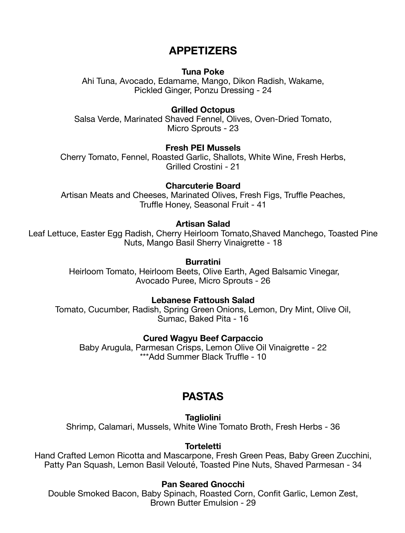# **APPETIZERS**

### **Tuna Poke**

Ahi Tuna, Avocado, Edamame, Mango, Dikon Radish, Wakame, Pickled Ginger, Ponzu Dressing - 24

### **Grilled Octopus**

Salsa Verde, Marinated Shaved Fennel, Olives, Oven-Dried Tomato, Micro Sprouts - 23

## **Fresh PEI Mussels**

Cherry Tomato, Fennel, Roasted Garlic, Shallots, White Wine, Fresh Herbs, Grilled Crostini - 21

## **Charcuterie Board**

Artisan Meats and Cheeses, Marinated Olives, Fresh Figs, Truffle Peaches, Truffle Honey, Seasonal Fruit - 41

#### **Artisan Salad**

Leaf Lettuce, Easter Egg Radish, Cherry Heirloom Tomato,Shaved Manchego, Toasted Pine Nuts, Mango Basil Sherry Vinaigrette - 18

#### **Burratini**

 Heirloom Tomato, Heirloom Beets, Olive Earth, Aged Balsamic Vinegar, Avocado Puree, Micro Sprouts - 26

#### **Lebanese Fattoush Salad**

Tomato, Cucumber, Radish, Spring Green Onions, Lemon, Dry Mint, Olive Oil, Sumac, Baked Pita - 16

#### **Cured Wagyu Beef Carpaccio**

Baby Arugula, Parmesan Crisps, Lemon Olive Oil Vinaigrette - 22 \*\*\*Add Summer Black Truffle - 10

# **PASTAS**

**Tagliolini** 

Shrimp, Calamari, Mussels, White Wine Tomato Broth, Fresh Herbs - 36

#### **Torteletti**

Hand Crafted Lemon Ricotta and Mascarpone, Fresh Green Peas, Baby Green Zucchini, Patty Pan Squash, Lemon Basil Velouté, Toasted Pine Nuts, Shaved Parmesan - 34

#### **Pan Seared Gnocchi**

Double Smoked Bacon, Baby Spinach, Roasted Corn, Confit Garlic, Lemon Zest, Brown Butter Emulsion - 29